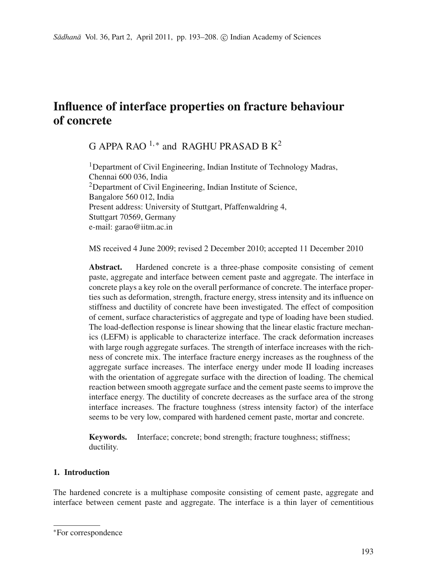# **Influence of interface properties on fracture behaviour of concrete**

G APPA RAO  $1.*$  and RAGHU PRASAD B  $K^2$ 

<sup>1</sup>Department of Civil Engineering, Indian Institute of Technology Madras, Chennai 600 036, India 2Department of Civil Engineering, Indian Institute of Science, Bangalore 560 012, India Present address: University of Stuttgart, Pfaffenwaldring 4, Stuttgart 70569, Germany e-mail: garao@iitm.ac.in

MS received 4 June 2009; revised 2 December 2010; accepted 11 December 2010

Abstract. Hardened concrete is a three-phase composite consisting of cement paste, aggregate and interface between cement paste and aggregate. The interface in concrete plays a key role on the overall performance of concrete. The interface properties such as deformation, strength, fracture energy, stress intensity and its influence on stiffness and ductility of concrete have been investigated. The effect of composition of cement, surface characteristics of aggregate and type of loading have been studied. The load-deflection response is linear showing that the linear elastic fracture mechanics (LEFM) is applicable to characterize interface. The crack deformation increases with large rough aggregate surfaces. The strength of interface increases with the richness of concrete mix. The interface fracture energy increases as the roughness of the aggregate surface increases. The interface energy under mode II loading increases with the orientation of aggregate surface with the direction of loading. The chemical reaction between smooth aggregate surface and the cement paste seems to improve the interface energy. The ductility of concrete decreases as the surface area of the strong interface increases. The fracture toughness (stress intensity factor) of the interface seems to be very low, compared with hardened cement paste, mortar and concrete.

**Keywords.** Interface; concrete; bond strength; fracture toughness; stiffness; ductility.

# **1. Introduction**

The hardened concrete is a multiphase composite consisting of cement paste, aggregate and interface between cement paste and aggregate. The interface is a thin layer of cementitious

<sup>∗</sup>For correspondence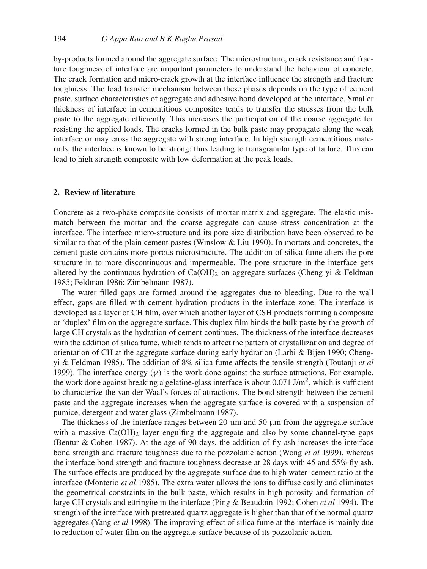by-products formed around the aggregate surface. The microstructure, crack resistance and fracture toughness of interface are important parameters to understand the behaviour of concrete. The crack formation and micro-crack growth at the interface influence the strength and fracture toughness. The load transfer mechanism between these phases depends on the type of cement paste, surface characteristics of aggregate and adhesive bond developed at the interface. Smaller thickness of interface in cementitious composites tends to transfer the stresses from the bulk paste to the aggregate efficiently. This increases the participation of the coarse aggregate for resisting the applied loads. The cracks formed in the bulk paste may propagate along the weak interface or may cross the aggregate with strong interface. In high strength cementitious materials, the interface is known to be strong; thus leading to transgranular type of failure. This can lead to high strength composite with low deformation at the peak loads.

### **2. Review of literature**

Concrete as a two-phase composite consists of mortar matrix and aggregate. The elastic mismatch between the mortar and the coarse aggregate can cause stress concentration at the interface. The interface micro-structure and its pore size distribution have been observed to be similar to that of the plain cement pastes (Winslow & Liu 1990). In mortars and concretes, the cement paste contains more porous microstructure. The addition of silica fume alters the pore structure in to more discontinuous and impermeable. The pore structure in the interface gets altered by the continuous hydration of  $Ca(OH)_2$  on aggregate surfaces (Cheng-yi & Feldman 1985; Feldman 1986; Zimbelmann 1987).

The water filled gaps are formed around the aggregates due to bleeding. Due to the wall effect, gaps are filled with cement hydration products in the interface zone. The interface is developed as a layer of CH film, over which another layer of CSH products forming a composite or 'duplex' film on the aggregate surface. This duplex film binds the bulk paste by the growth of large CH crystals as the hydration of cement continues. The thickness of the interface decreases with the addition of silica fume, which tends to affect the pattern of crystallization and degree of orientation of CH at the aggregate surface during early hydration (Larbi & Bijen 1990; Chengyi & Feldman 1985). The addition of 8% silica fume affects the tensile strength (Toutanji *et al* 1999). The interface energy  $(\gamma)$  is the work done against the surface attractions. For example, the work done against breaking a gelatine-glass interface is about  $0.071 \text{ J/m}^2$ , which is sufficient to characterize the van der Waal's forces of attractions. The bond strength between the cement paste and the aggregate increases when the aggregate surface is covered with a suspension of pumice, detergent and water glass (Zimbelmann 1987).

The thickness of the interface ranges between 20 μm and 50 μm from the aggregate surface with a massive  $Ca(OH)_2$  layer engulfing the aggregate and also by some channel-type gaps (Bentur & Cohen 1987). At the age of 90 days, the addition of fly ash increases the interface bond strength and fracture toughness due to the pozzolanic action (Wong *et al* 1999), whereas the interface bond strength and fracture toughness decrease at 28 days with 45 and 55% fly ash. The surface effects are produced by the aggregate surface due to high water–cement ratio at the interface (Monterio *et al* 1985). The extra water allows the ions to diffuse easily and eliminates the geometrical constraints in the bulk paste, which results in high porosity and formation of large CH crystals and ettringite in the interface (Ping & Beaudoin 1992; Cohen *et al* 1994). The strength of the interface with pretreated quartz aggregate is higher than that of the normal quartz aggregates (Yang *et al* 1998). The improving effect of silica fume at the interface is mainly due to reduction of water film on the aggregate surface because of its pozzolanic action.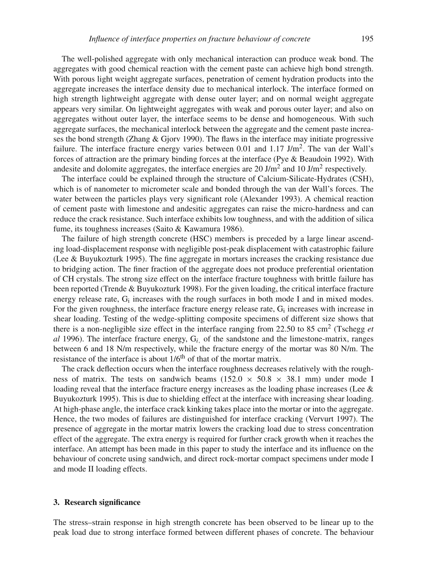The well-polished aggregate with only mechanical interaction can produce weak bond. The aggregates with good chemical reaction with the cement paste can achieve high bond strength. With porous light weight aggregate surfaces, penetration of cement hydration products into the aggregate increases the interface density due to mechanical interlock. The interface formed on high strength lightweight aggregate with dense outer layer; and on normal weight aggregate appears very similar. On lightweight aggregates with weak and porous outer layer; and also on aggregates without outer layer, the interface seems to be dense and homogeneous. With such aggregate surfaces, the mechanical interlock between the aggregate and the cement paste increases the bond strength (Zhang & Gjorv 1990). The flaws in the interface may initiate progressive failure. The interface fracture energy varies between 0.01 and 1.17 J/m<sup>2</sup>. The van der Wall's forces of attraction are the primary binding forces at the interface (Pye & Beaudoin 1992). With andesite and dolomite aggregates, the interface energies are 20 J/m<sup>2</sup> and 10 J/m<sup>2</sup> respectively.

The interface could be explained through the structure of Calcium-Silicate-Hydrates (CSH), which is of nanometer to micrometer scale and bonded through the van der Wall's forces. The water between the particles plays very significant role (Alexander 1993). A chemical reaction of cement paste with limestone and andesitic aggregates can raise the micro-hardness and can reduce the crack resistance. Such interface exhibits low toughness, and with the addition of silica fume, its toughness increases (Saito & Kawamura 1986).

The failure of high strength concrete (HSC) members is preceded by a large linear ascending load-displacement response with negligible post-peak displacement with catastrophic failure (Lee & Buyukozturk 1995). The fine aggregate in mortars increases the cracking resistance due to bridging action. The finer fraction of the aggregate does not produce preferential orientation of CH crystals. The strong size effect on the interface fracture toughness with brittle failure has been reported (Trende & Buyukozturk 1998). For the given loading, the critical interface fracture energy release rate, Gi increases with the rough surfaces in both mode I and in mixed modes. For the given roughness, the interface fracture energy release rate, G<sub>i</sub> increases with increase in shear loading. Testing of the wedge-splitting composite specimens of different size shows that there is a non-negligible size effect in the interface ranging from 22.50 to 85 cm<sup>2</sup> (Tschegg *et al* 1996). The interface fracture energy, G*i*, of the sandstone and the limestone-matrix, ranges between 6 and 18 N/m respectively, while the fracture energy of the mortar was 80 N/m. The resistance of the interface is about  $1/6<sup>th</sup>$  of that of the mortar matrix.

The crack deflection occurs when the interface roughness decreases relatively with the roughness of matrix. The tests on sandwich beams  $(152.0 \times 50.8 \times 38.1 \text{ mm})$  under mode I loading reveal that the interface fracture energy increases as the loading phase increases (Lee & Buyukozturk 1995). This is due to shielding effect at the interface with increasing shear loading. At high-phase angle, the interface crack kinking takes place into the mortar or into the aggregate. Hence, the two modes of failures are distinguished for interface cracking (Vervurt 1997). The presence of aggregate in the mortar matrix lowers the cracking load due to stress concentration effect of the aggregate. The extra energy is required for further crack growth when it reaches the interface. An attempt has been made in this paper to study the interface and its influence on the behaviour of concrete using sandwich, and direct rock-mortar compact specimens under mode I and mode II loading effects.

## **3. Research significance**

The stress–strain response in high strength concrete has been observed to be linear up to the peak load due to strong interface formed between different phases of concrete. The behaviour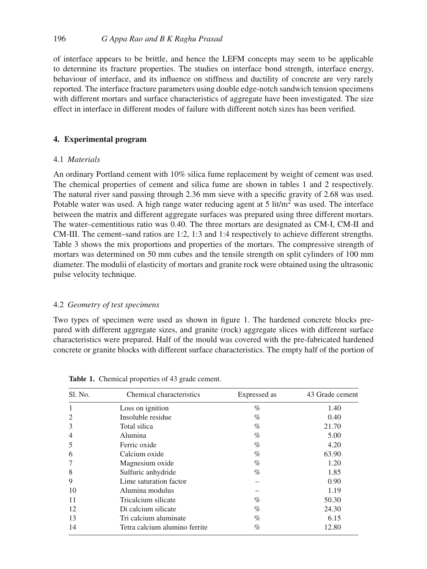of interface appears to be brittle, and hence the LEFM concepts may seem to be applicable to determine its fracture properties. The studies on interface bond strength, interface energy, behaviour of interface, and its influence on stiffness and ductility of concrete are very rarely reported. The interface fracture parameters using double edge-notch sandwich tension specimens with different mortars and surface characteristics of aggregate have been investigated. The size effect in interface in different modes of failure with different notch sizes has been verified.

# **4. Experimental program**

## 4.1 *Materials*

An ordinary Portland cement with 10% silica fume replacement by weight of cement was used. The chemical properties of cement and silica fume are shown in tables 1 and 2 respectively. The natural river sand passing through 2.36 mm sieve with a specific gravity of 2.68 was used. Potable water was used. A high range water reducing agent at  $5$  lit/m<sup>2</sup> was used. The interface between the matrix and different aggregate surfaces was prepared using three different mortars. The water–cementitious ratio was 0.40. The three mortars are designated as CM-I, CM-II and CM-III. The cement–sand ratios are 1:2, 1:3 and 1:4 respectively to achieve different strengths. Table 3 shows the mix proportions and properties of the mortars. The compressive strength of mortars was determined on 50 mm cubes and the tensile strength on split cylinders of 100 mm diameter. The modulii of elasticity of mortars and granite rock were obtained using the ultrasonic pulse velocity technique.

#### 4.2 *Geometry of test specimens*

Two types of specimen were used as shown in figure 1. The hardened concrete blocks prepared with different aggregate sizes, and granite (rock) aggregate slices with different surface characteristics were prepared. Half of the mould was covered with the pre-fabricated hardened concrete or granite blocks with different surface characteristics. The empty half of the portion of

| Sl. No.        | Chemical characteristics      | Expressed as | 43 Grade cement |
|----------------|-------------------------------|--------------|-----------------|
| $\mathbf{1}$   | Loss on ignition              | $\%$         | 1.40            |
| $\overline{2}$ | Insoluble residue             | $\%$         | 0.40            |
| 3              | Total silica                  | $\%$         | 21.70           |
| $\overline{4}$ | Alumina                       | %            | 5.00            |
| 5              | Ferric oxide                  | $\%$         | 4.20            |
| 6              | Calcium oxide                 | %            | 63.90           |
| 7              | Magnesium oxide               | $\%$         | 1.20            |
| 8              | Sulfuric anhydride            | $\%$         | 1.85            |
| 9              | Lime saturation factor        |              | 0.90            |
| 10             | Alumina modulus               |              | 1.19            |
| 11             | Tricalcium silicate           | $\%$         | 50.30           |
| 12             | Di calcium silicate           | %            | 24.30           |
| 13             | Tri calcium aluminate         | $\%$         | 6.15            |
| 14             | Tetra calcium alumino ferrite | $\%$         | 12.80           |

**Table 1.** Chemical properties of 43 grade cement.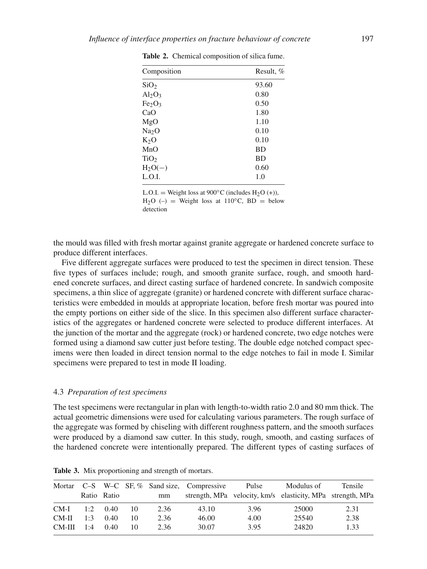| Composition                    | Result, % |
|--------------------------------|-----------|
| SiO <sub>2</sub>               | 93.60     |
| $Al_2O_3$                      | 0.80      |
| Fe <sub>2</sub> O <sub>3</sub> | 0.50      |
| CaO                            | 1.80      |
| MgO                            | 1.10      |
| Na <sub>2</sub> O              | 0.10      |
| $K_2O$                         | 0.10      |
| MnO                            | <b>BD</b> |
| TiO <sub>2</sub>               | <b>BD</b> |
| $H_2O(-)$                      | 0.60      |
| L.O.I.                         | 1.0       |
|                                |           |

**Table 2.** Chemical composition of silica fume.

L.O.I. = Weight loss at  $900^{\circ}$ C (includes H<sub>2</sub>O (+)), H<sub>2</sub>O (–) = Weight loss at 110<sup>°</sup>C, BD = below detection

the mould was filled with fresh mortar against granite aggregate or hardened concrete surface to produce different interfaces.

Five different aggregate surfaces were produced to test the specimen in direct tension. These five types of surfaces include; rough, and smooth granite surface, rough, and smooth hardened concrete surfaces, and direct casting surface of hardened concrete. In sandwich composite specimens, a thin slice of aggregate (granite) or hardened concrete with different surface characteristics were embedded in moulds at appropriate location, before fresh mortar was poured into the empty portions on either side of the slice. In this specimen also different surface characteristics of the aggregates or hardened concrete were selected to produce different interfaces. At the junction of the mortar and the aggregate (rock) or hardened concrete, two edge notches were formed using a diamond saw cutter just before testing. The double edge notched compact specimens were then loaded in direct tension normal to the edge notches to fail in mode I. Similar specimens were prepared to test in mode II loading.

#### 4.3 *Preparation of test specimens*

The test specimens were rectangular in plan with length-to-width ratio 2.0 and 80 mm thick. The actual geometric dimensions were used for calculating various parameters. The rough surface of the aggregate was formed by chiseling with different roughness pattern, and the smooth surfaces were produced by a diamond saw cutter. In this study, rough, smooth, and casting surfaces of the hardened concrete were intentionally prepared. The different types of casting surfaces of

|        |     |             |    |      | Mortar C-S W-C SF, % Sand size, Compressive | Pulse | Modulus of                                                 | Tensile |
|--------|-----|-------------|----|------|---------------------------------------------|-------|------------------------------------------------------------|---------|
|        |     | Ratio Ratio |    | mm   |                                             |       | strength, MPa velocity, km/s elasticity, MPa strength, MPa |         |
| CM-I   | 1:2 | 0.40        | 10 | 2.36 | 43.10                                       | 3.96  | 25000                                                      | 2.31    |
| CM-II  | 1.3 | 0.40        | 10 | 2.36 | 46.00                                       | 4.00  | 25540                                                      | 2.38    |
| CM-III | 1:4 | 0.40        | 10 | 2.36 | 30.07                                       | 3.95  | 24820                                                      | 1.33    |

**Table 3.** Mix proportioning and strength of mortars.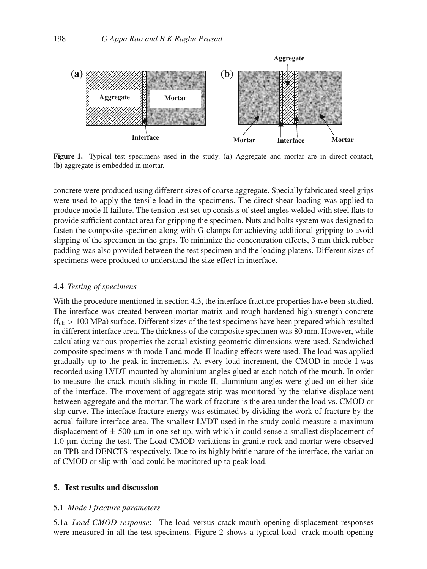

**Figure 1.** Typical test specimens used in the study. (**a**) Aggregate and mortar are in direct contact, (**b**) aggregate is embedded in mortar.

concrete were produced using different sizes of coarse aggregate. Specially fabricated steel grips were used to apply the tensile load in the specimens. The direct shear loading was applied to produce mode II failure. The tension test set-up consists of steel angles welded with steel flats to provide sufficient contact area for gripping the specimen. Nuts and bolts system was designed to fasten the composite specimen along with G-clamps for achieving additional gripping to avoid slipping of the specimen in the grips. To minimize the concentration effects, 3 mm thick rubber padding was also provided between the test specimen and the loading platens. Different sizes of specimens were produced to understand the size effect in interface.

# 4.4 *Testing of specimens*

With the procedure mentioned in section 4.3, the interface fracture properties have been studied. The interface was created between mortar matrix and rough hardened high strength concrete  $(f_{ck} > 100 \text{ MPa})$  surface. Different sizes of the test specimens have been prepared which resulted in different interface area. The thickness of the composite specimen was 80 mm. However, while calculating various properties the actual existing geometric dimensions were used. Sandwiched composite specimens with mode-I and mode-II loading effects were used. The load was applied gradually up to the peak in increments. At every load increment, the CMOD in mode I was recorded using LVDT mounted by aluminium angles glued at each notch of the mouth. In order to measure the crack mouth sliding in mode II, aluminium angles were glued on either side of the interface. The movement of aggregate strip was monitored by the relative displacement between aggregate and the mortar. The work of fracture is the area under the load vs. CMOD or slip curve. The interface fracture energy was estimated by dividing the work of fracture by the actual failure interface area. The smallest LVDT used in the study could measure a maximum displacement of  $\pm$  500 µm in one set-up, with which it could sense a smallest displacement of 1.0 μm during the test. The Load-CMOD variations in granite rock and mortar were observed on TPB and DENCTS respectively. Due to its highly brittle nature of the interface, the variation of CMOD or slip with load could be monitored up to peak load.

# **5. Test results and discussion**

#### 5.1 *Mode I fracture parameters*

5.1a *Load-CMOD response*: The load versus crack mouth opening displacement responses were measured in all the test specimens. Figure 2 shows a typical load- crack mouth opening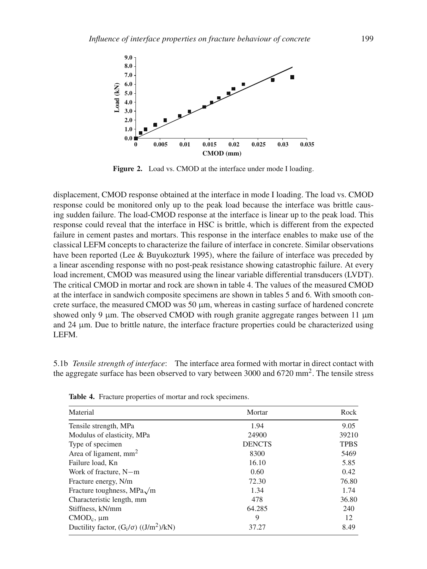

**Figure 2.** Load vs. CMOD at the interface under mode I loading.

displacement, CMOD response obtained at the interface in mode I loading. The load vs. CMOD response could be monitored only up to the peak load because the interface was brittle causing sudden failure. The load-CMOD response at the interface is linear up to the peak load. This response could reveal that the interface in HSC is brittle, which is different from the expected failure in cement pastes and mortars. This response in the interface enables to make use of the classical LEFM concepts to characterize the failure of interface in concrete. Similar observations have been reported (Lee & Buyukozturk 1995), where the failure of interface was preceded by a linear ascending response with no post-peak resistance showing catastrophic failure. At every load increment, CMOD was measured using the linear variable differential transducers (LVDT). The critical CMOD in mortar and rock are shown in table 4. The values of the measured CMOD at the interface in sandwich composite specimens are shown in tables 5 and 6. With smooth concrete surface, the measured CMOD was 50  $\mu$ m, whereas in casting surface of hardened concrete showed only 9 μm. The observed CMOD with rough granite aggregate ranges between 11 μm and 24 μm. Due to brittle nature, the interface fracture properties could be characterized using LEFM.

5.1b *Tensile strength of interface*: The interface area formed with mortar in direct contact with the aggregate surface has been observed to vary between 3000 and  $6720 \text{ mm}^2$ . The tensile stress

| Material                                          | Mortar        | Rock        |
|---------------------------------------------------|---------------|-------------|
| Tensile strength, MPa                             | 1.94          | 9.05        |
| Modulus of elasticity, MPa                        | 24900         | 39210       |
| Type of specimen                                  | <b>DENCTS</b> | <b>TPBS</b> |
| Area of ligament, $mm2$                           | 8300          | 5469        |
| Failure load, Kn                                  | 16.10         | 5.85        |
| Work of fracture, N-m                             | 0.60          | 0.42        |
| Fracture energy, N/m                              | 72.30         | 76.80       |
| Fracture toughness, MPa√m                         | 1.34          | 1.74        |
| Characteristic length, mm                         | 478           | 36.80       |
| Stiffness, kN/mm                                  | 64.285        | 240         |
| $CMD_c$ , $\mu$ m                                 | 9             | 12          |
| Ductility factor, $(G_i/\sigma)$ ( $(J/m^2)/kN$ ) | 37.27         | 8.49        |

**Table 4.** Fracture properties of mortar and rock specimens.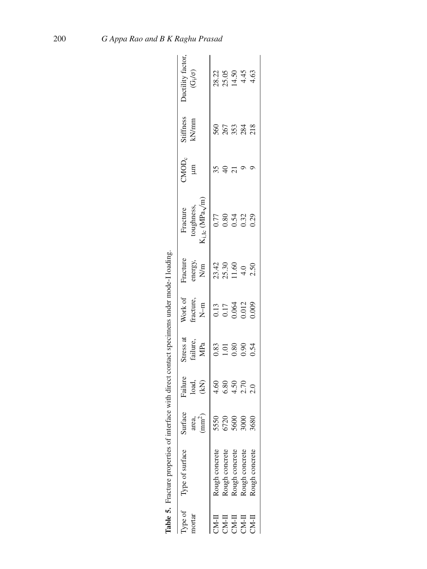|                                                                              | Table 5. Fracture properties of interface with direct contact specimens under mode-I loading. |                                      |                          |                              |                                                                                 |                                                  |                                                         |                  |                    |                                                  |
|------------------------------------------------------------------------------|-----------------------------------------------------------------------------------------------|--------------------------------------|--------------------------|------------------------------|---------------------------------------------------------------------------------|--------------------------------------------------|---------------------------------------------------------|------------------|--------------------|--------------------------------------------------|
| Type of<br>nortar                                                            | Type of surface                                                                               | rface<br>area,<br>(mm <sup>2</sup> ) | Failure<br>Ioad,<br>(kN) | Stress at<br>failure,<br>MPa | Work of<br>fracture,<br>N–m                                                     | Fracture<br>energy,<br>N/m                       | toughness,<br>$K_{i, Ic}$ (MPa $\sqrt{m}$ )<br>Fracture | MOD <sub>c</sub> | Stiffness<br>kN/mm | Ductility factor<br>$(G_{\rm i}/\sigma)$         |
| II-NC                                                                        | Rough concrete                                                                                |                                      |                          |                              |                                                                                 |                                                  |                                                         | 35               |                    |                                                  |
|                                                                              | Rough concrete                                                                                | 58<br>58<br>58                       |                          | 0.83<br>1.01<br>0.90<br>0.54 | $\begin{array}{c} 0.13 \\ 0.17 \\ 0.064 \\ 0.012 \\ 0.012 \\ 0.009 \end{array}$ | $23.42$<br>$25.30$<br>$11.60$<br>$4.0$<br>$2.50$ | 0.77<br>0.84<br>0.32<br>0.29                            |                  | <b>8653328</b>     | $28.22$<br>$25.65$<br>$4.45$<br>$4.45$<br>$4.63$ |
| $\begin{array}{ll} \text{CVA-I} \\ \text{CVA-I} \\ \text{CVA-I} \end{array}$ | Rough concrete                                                                                |                                      |                          |                              |                                                                                 |                                                  |                                                         |                  |                    |                                                  |
|                                                                              | Rough concrete                                                                                | 8 <sup>o</sup>                       |                          |                              |                                                                                 |                                                  |                                                         |                  |                    |                                                  |
| CM-II                                                                        | Rough concrete                                                                                | 680                                  |                          |                              |                                                                                 |                                                  |                                                         |                  |                    |                                                  |
|                                                                              |                                                                                               |                                      |                          |                              |                                                                                 |                                                  |                                                         |                  |                    |                                                  |

| ١                                                                                          |
|--------------------------------------------------------------------------------------------|
|                                                                                            |
| ֧֧֧֧֧֧֧֧֧֧֧֧֧֧֧֧֧֧֧֧֧֧֧֛֪֧֛֚֚֚֚֚֚֚֚֚֚֚֚֚֚֚֚֚֚֚֚֚֚֚֚֝֝֓֝֓֝֟֓֝֓֝֓֝֓֝֓֝֬֝֬֝֓֝֬֝֬֝֬֝֬֝֬֝֬֝֬֝֬֝ |
| your montage to the convenience to the contract of<br>I                                    |
|                                                                                            |
| i                                                                                          |
|                                                                                            |
| ・・・・・ くく くせきくもくき                                                                           |
|                                                                                            |
| <b>TIME MORGANIA</b>                                                                       |
| I<br>I                                                                                     |
| ı<br>ble 5.                                                                                |
|                                                                                            |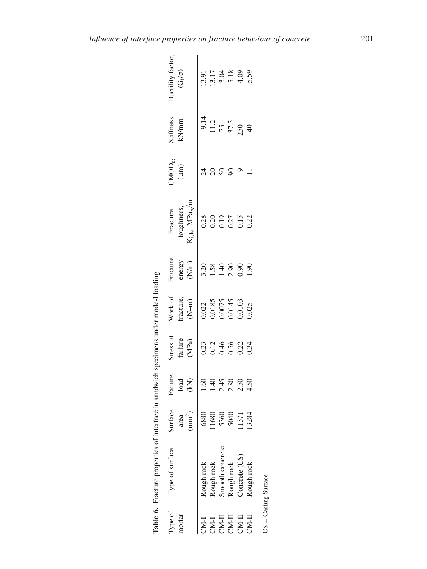|        | lable 6. Fracture properties of interface in sandwich specimens under mode-I loading. |                                |                                     |                                                              |                                                                                                 |                                                                                      |                                                |                                          |                                        |                                                                       |
|--------|---------------------------------------------------------------------------------------|--------------------------------|-------------------------------------|--------------------------------------------------------------|-------------------------------------------------------------------------------------------------|--------------------------------------------------------------------------------------|------------------------------------------------|------------------------------------------|----------------------------------------|-----------------------------------------------------------------------|
|        | Type of Type of surface                                                               | urface                         | Failure                             | stress at                                                    |                                                                                                 | Tacture                                                                              | Fracture                                       |                                          | Stiffness<br>kN/mm                     | Juctility factor                                                      |
| mortar |                                                                                       | area                           |                                     |                                                              |                                                                                                 |                                                                                      | toughness,                                     | $\text{CMOD}_{\text{c}}$ ;<br>( $\mu$ m) |                                        | $(G_{\rm i}/\sigma)$                                                  |
|        |                                                                                       | (mm <sup>2</sup> )             | $_{\rm lead}^{\rm load}$            | $\begin{array}{c} \mbox{failure}\\ \mbox{(MPa)} \end{array}$ | Work of<br>fracture, $(N-m)$                                                                    | energy $\overline{\mathrm{(Nm)}}$                                                    | $\dot{\mathcal{A}}_{i, Ic, }$ MPa $\sqrt{n}$   |                                          |                                        |                                                                       |
|        | Rough rock                                                                            | 6880                           |                                     |                                                              |                                                                                                 |                                                                                      |                                                |                                          |                                        |                                                                       |
|        |                                                                                       |                                | 0<br>0 0 4 5 0 0 0<br>1 1 0 0 0 0 0 | 0.214660.34                                                  | $\begin{array}{c} 0.022 \\ 0.0185 \\ 0.0075 \\ 0.0075 \\ 0.0145 \\ 0.0103 \\ 0.025 \end{array}$ | $\begin{array}{c} 208 \\ 1.58 \\ 1.40 \\ 0.90 \\ 1.90 \\ 1.90 \\ \hline \end{array}$ | $0.28$<br>$0.27$<br>$0.27$<br>$0.22$<br>$0.22$ | $\frac{4}{2}$                            | 9.14<br>11.2<br>75<br>37.5<br>40<br>40 | $\begin{array}{c} 13.91 \\ 13.17 \\ 3.04 \\ 4.09 \\ 5.59 \end{array}$ |
|        | Rough rock<br>Smooth concrete                                                         | 11680<br>5360<br>5040<br>11371 |                                     |                                                              |                                                                                                 |                                                                                      |                                                | 50                                       |                                        |                                                                       |
|        | Rough rock                                                                            |                                |                                     |                                                              |                                                                                                 |                                                                                      |                                                |                                          |                                        |                                                                       |
|        | Concrete (CS)                                                                         |                                |                                     |                                                              |                                                                                                 |                                                                                      |                                                |                                          |                                        |                                                                       |
|        | Rough rock                                                                            | 13284                          |                                     |                                                              |                                                                                                 |                                                                                      |                                                |                                          |                                        |                                                                       |
|        |                                                                                       |                                |                                     |                                                              |                                                                                                 |                                                                                      |                                                |                                          |                                        |                                                                       |

Table 6. Fracture properties of interface in sandwich specimens under mode-I loading.

CS Casting Surface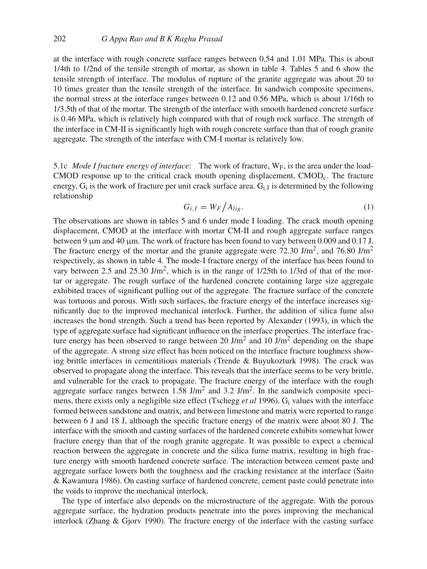at the interface with rough concrete surface ranges between 0.54 and 1.01 MPa. This is about 1/4th to 1/2nd of the tensile strength of mortar, as shown in table 4. Tables 5 and 6 show the tensile strength of interface. The modulus of rupture of the granite aggregate was about 20 to 10 times greater than the tensile strength of the interface. In sandwich composite specimens, the normal stress at the interface ranges between 0.12 and 0.56 MPa, which is about 1/16th to 1/3.5th of that of the mortar. The strength of the interface with smooth hardened concrete surface is 0.46 MPa, which is relatively high compared with that of rough rock surface. The strength of the interface in CM-II is significantly high with rough concrete surface than that of rough granite aggregate. The strength of the interface with CM-I mortar is relatively low.

5.1c *Mode I fracture energy of interface*: The work of fracture,  $W_F$ , is the area under the load-CMOD response up to the critical crack mouth opening displacement, CMOD<sub>c</sub>. The fracture energy,  $G_i$  is the work of fracture per unit crack surface area.  $G_i$  is determined by the following relationship

$$
G_{i,I} = W_F / A_{lig}.
$$
 (1)

The observations are shown in tables 5 and 6 under mode I loading. The crack mouth opening displacement, CMOD at the interface with mortar CM-II and rough aggregate surface ranges between 9 μm and 40 μm. The work of fracture has been found to vary between 0.009 and 0.17 J. The fracture energy of the mortar and the granite aggregate were 72.30 J/m<sup>2</sup>, and 76.80 J/m<sup>2</sup> respectively, as shown in table 4. The mode-I fracture energy of the interface has been found to vary between 2.5 and 25.30 J/m<sup>2</sup>, which is in the range of 1/25th to 1/3rd of that of the mortar or aggregate. The rough surface of the hardened concrete containing large size aggregate exhibited traces of significant pulling out of the aggregate. The fracture surface of the concrete was tortuous and porous. With such surfaces, the fracture energy of the interface increases significantly due to the improved mechanical interlock. Further, the addition of silica fume also increases the bond strength. Such a trend has been reported by Alexander (1993), in which the type of aggregate surface had significant influence on the interface properties. The interface fracture energy has been observed to range between 20 J/m<sup>2</sup> and 10 J/m<sup>2</sup> depending on the shape of the aggregate. A strong size effect has been noticed on the interface fracture toughness showing brittle interfaces in cementitious materials (Trende & Buyukozturk 1998). The crack was observed to propagate along the interface. This reveals that the interface seems to be very brittle, and vulnerable for the crack to propagate. The fracture energy of the interface with the rough aggregate surface ranges between  $1.58$  J/m<sup>2</sup> and  $3.2$  J/m<sup>2</sup>. In the sandwich composite specimens, there exists only a negligible size effect (Tschegg *et al* 1996). Gi values with the interface formed between sandstone and matrix, and between limestone and matrix were reported to range between 6 J and 18 J, although the specific fracture energy of the matrix were about 80 J. The interface with the smooth and casting surfaces of the hardened concrete exhibits somewhat lower fracture energy than that of the rough granite aggregate. It was possible to expect a chemical reaction between the aggregate in concrete and the silica fume matrix, resulting in high fracture energy with smooth hardened concrete surface. The interaction between cement paste and aggregate surface lowers both the toughness and the cracking resistance at the interface (Saito & Kawamura 1986). On casting surface of hardened concrete, cement paste could penetrate into the voids to improve the mechanical interlock.

The type of interface also depends on the microstructure of the aggregate. With the porous aggregate surface, the hydration products penetrate into the pores improving the mechanical interlock (Zhang & Gjorv 1990). The fracture energy of the interface with the casting surface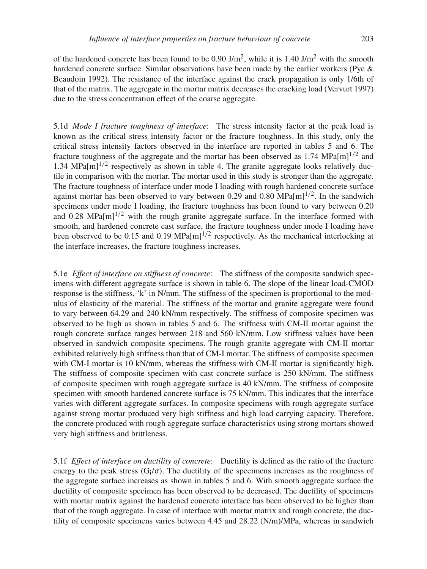of the hardened concrete has been found to be 0.90 J/m<sup>2</sup>, while it is 1.40 J/m<sup>2</sup> with the smooth hardened concrete surface. Similar observations have been made by the earlier workers (Pye & Beaudoin 1992). The resistance of the interface against the crack propagation is only 1/6th of that of the matrix. The aggregate in the mortar matrix decreases the cracking load (Vervurt 1997) due to the stress concentration effect of the coarse aggregate.

5.1d *Mode I fracture toughness of interface*: The stress intensity factor at the peak load is known as the critical stress intensity factor or the fracture toughness. In this study, only the critical stress intensity factors observed in the interface are reported in tables 5 and 6. The fracture toughness of the aggregate and the mortar has been observed as 1.74 MPa $[m]^{1/2}$  and 1.34 MPa $[m]^{1/2}$  respectively as shown in table 4. The granite aggregate looks relatively ductile in comparison with the mortar. The mortar used in this study is stronger than the aggregate. The fracture toughness of interface under mode I loading with rough hardened concrete surface against mortar has been observed to vary between 0.29 and 0.80 MPa $[m]^{1/2}$ . In the sandwich specimens under mode I loading, the fracture toughness has been found to vary between 0.20 and 0.28 MPa $[m]^{1/2}$  with the rough granite aggregate surface. In the interface formed with smooth, and hardened concrete cast surface, the fracture toughness under mode I loading have been observed to be 0.15 and 0.19 MPa $[m]^{1/2}$  respectively. As the mechanical interlocking at the interface increases, the fracture toughness increases.

5.1e *Effect of interface on stiffness of concrete*: The stiffness of the composite sandwich specimens with different aggregate surface is shown in table 6. The slope of the linear load-CMOD response is the stiffness, 'k' in N/mm. The stiffness of the specimen is proportional to the modulus of elasticity of the material. The stiffness of the mortar and granite aggregate were found to vary between 64.29 and 240 kN/mm respectively. The stiffness of composite specimen was observed to be high as shown in tables 5 and 6. The stiffness with CM-II mortar against the rough concrete surface ranges between 218 and 560 kN/mm. Low stiffness values have been observed in sandwich composite specimens. The rough granite aggregate with CM-II mortar exhibited relatively high stiffness than that of CM-I mortar. The stiffness of composite specimen with CM-I mortar is 10 kN/mm, whereas the stiffness with CM-II mortar is significantly high. The stiffness of composite specimen with cast concrete surface is 250 kN/mm. The stiffness of composite specimen with rough aggregate surface is 40 kN/mm. The stiffness of composite specimen with smooth hardened concrete surface is 75 kN/mm. This indicates that the interface varies with different aggregate surfaces. In composite specimens with rough aggregate surface against strong mortar produced very high stiffness and high load carrying capacity. Therefore, the concrete produced with rough aggregate surface characteristics using strong mortars showed very high stiffness and brittleness.

5.1f *Effect of interface on ductility of concrete*: Ductility is defined as the ratio of the fracture energy to the peak stress  $(G_i/\sigma)$ . The ductility of the specimens increases as the roughness of the aggregate surface increases as shown in tables 5 and 6. With smooth aggregate surface the ductility of composite specimen has been observed to be decreased. The ductility of specimens with mortar matrix against the hardened concrete interface has been observed to be higher than that of the rough aggregate. In case of interface with mortar matrix and rough concrete, the ductility of composite specimens varies between 4.45 and 28.22 (N/m)/MPa, whereas in sandwich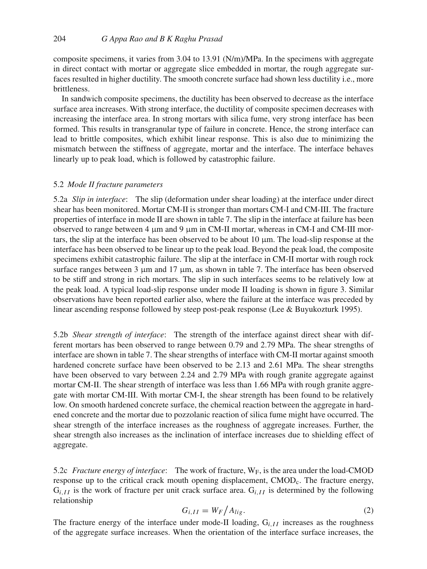composite specimens, it varies from 3.04 to 13.91 (N/m)/MPa. In the specimens with aggregate in direct contact with mortar or aggregate slice embedded in mortar, the rough aggregate surfaces resulted in higher ductility. The smooth concrete surface had shown less ductility i.e., more brittleness.

In sandwich composite specimens, the ductility has been observed to decrease as the interface surface area increases. With strong interface, the ductility of composite specimen decreases with increasing the interface area. In strong mortars with silica fume, very strong interface has been formed. This results in transgranular type of failure in concrete. Hence, the strong interface can lead to brittle composites, which exhibit linear response. This is also due to minimizing the mismatch between the stiffness of aggregate, mortar and the interface. The interface behaves linearly up to peak load, which is followed by catastrophic failure.

## 5.2 *Mode II fracture parameters*

5.2a *Slip in interface*: The slip (deformation under shear loading) at the interface under direct shear has been monitored. Mortar CM-II is stronger than mortars CM-I and CM-III. The fracture properties of interface in mode II are shown in table 7. The slip in the interface at failure has been observed to range between 4 μm and 9 μm in CM-II mortar, whereas in CM-I and CM-III mortars, the slip at the interface has been observed to be about 10 μm. The load-slip response at the interface has been observed to be linear up to the peak load. Beyond the peak load, the composite specimens exhibit catastrophic failure. The slip at the interface in CM-II mortar with rough rock surface ranges between 3 μm and 17 μm, as shown in table 7. The interface has been observed to be stiff and strong in rich mortars. The slip in such interfaces seems to be relatively low at the peak load. A typical load-slip response under mode II loading is shown in figure 3. Similar observations have been reported earlier also, where the failure at the interface was preceded by linear ascending response followed by steep post-peak response (Lee & Buyukozturk 1995).

5.2b *Shear strength of interface*: The strength of the interface against direct shear with different mortars has been observed to range between 0.79 and 2.79 MPa. The shear strengths of interface are shown in table 7. The shear strengths of interface with CM-II mortar against smooth hardened concrete surface have been observed to be 2.13 and 2.61 MPa. The shear strengths have been observed to vary between 2.24 and 2.79 MPa with rough granite aggregate against mortar CM-II. The shear strength of interface was less than 1.66 MPa with rough granite aggregate with mortar CM-III. With mortar CM-I, the shear strength has been found to be relatively low. On smooth hardened concrete surface, the chemical reaction between the aggregate in hardened concrete and the mortar due to pozzolanic reaction of silica fume might have occurred. The shear strength of the interface increases as the roughness of aggregate increases. Further, the shear strength also increases as the inclination of interface increases due to shielding effect of aggregate.

5.2c *Fracture energy of interface*: The work of fracture,  $W_F$ , is the area under the load-CMOD response up to the critical crack mouth opening displacement, CMODc. The fracture energy,  $G_{i,II}$  is the work of fracture per unit crack surface area.  $G_{i,II}$  is determined by the following relationship

$$
G_{i,II} = W_F / A_{lig}.
$$
 (2)

The fracture energy of the interface under mode-II loading, G*i*,*I I* increases as the roughness of the aggregate surface increases. When the orientation of the interface surface increases, the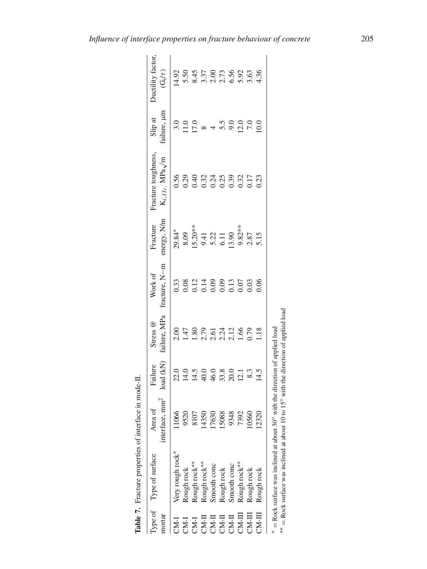|        | Type of Type of surface                                                       | Area of                    | Failure                        | Stress @                                                         | Work of       | Fracture                                                                                 | Fracture toughness,                                 | Slip at                                          | Ductility factor     |
|--------|-------------------------------------------------------------------------------|----------------------------|--------------------------------|------------------------------------------------------------------|---------------|------------------------------------------------------------------------------------------|-----------------------------------------------------|--------------------------------------------------|----------------------|
| nortar |                                                                               | interface, mm <sup>2</sup> | load (kN)                      | failure, MPa                                                     | fracture, N-m | energy, N/m                                                                              | $\mathbf{K}_{i,IIc}$ MPa/m                          | failure, µm                                      | $(\mathbf{G_{i}}/t)$ |
|        |                                                                               | 11066                      |                                | 2.00                                                             |               |                                                                                          |                                                     | 3.0                                              | 14.92                |
|        | Very rough rock*<br>Rough rock<br>Rough rock**<br>Rough rock**<br>Smooth conc | 9520                       | $21.49988011$<br>$21.49488011$ | $1.80$<br>$1.80$<br>$2.71$<br>$2.71$<br>$2.71$<br>$2.5$<br>$2.1$ |               |                                                                                          |                                                     | $\begin{array}{c} 11.0 \\ 17.0 \\ 8 \end{array}$ |                      |
|        |                                                                               | 8107                       |                                |                                                                  |               |                                                                                          |                                                     |                                                  |                      |
|        |                                                                               | 4350<br>7630               |                                |                                                                  |               |                                                                                          |                                                     |                                                  |                      |
|        |                                                                               |                            |                                |                                                                  |               |                                                                                          |                                                     | $4\,90$<br>$90$                                  |                      |
|        | Rough rock<br>Smooth conc                                                     | 5088<br>9348<br>7392       |                                |                                                                  |               |                                                                                          |                                                     |                                                  |                      |
|        |                                                                               |                            |                                |                                                                  |               |                                                                                          |                                                     |                                                  |                      |
|        | Rough rock**                                                                  |                            |                                |                                                                  |               |                                                                                          |                                                     | 12.0                                             |                      |
|        | Rough rock                                                                    | 0560                       | 8.3                            | 0.79                                                             | 0.03          | $29.84*$<br>8.09<br>8.03<br>8.22<br>5.11<br>5.15<br>6.11<br>9.23<br>9.25<br>7.15<br>5.15 | 5<br>0.0.4 0.7 1 0.9 0.1 1 0.9<br>0.0.0.0.0.0.0.0.0 |                                                  |                      |
|        | Rough rock                                                                    | 2320                       | 14.5                           | 1.18                                                             |               |                                                                                          |                                                     | 0.0                                              |                      |

| ı<br>$\sim$<br>$5 - 2 + 3 = 4$<br>ł<br><b>A 45 C 45 C 45 F 4 C</b> |
|--------------------------------------------------------------------|
| ŗ                                                                  |
| ı                                                                  |

Rock surface was inclined at about 10 to 15◦ with the direction of applied load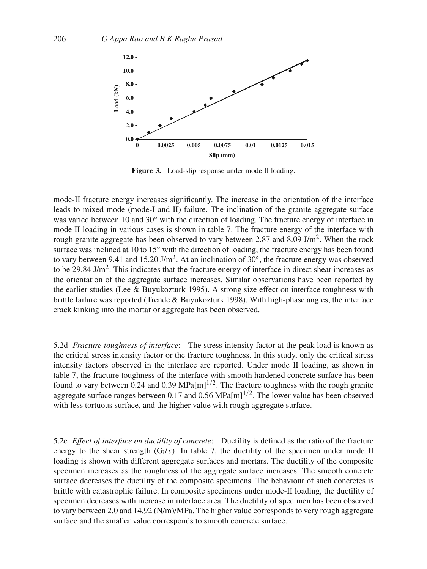

**Figure 3.** Load-slip response under mode II loading.

mode-II fracture energy increases significantly. The increase in the orientation of the interface leads to mixed mode (mode-I and II) failure. The inclination of the granite aggregate surface was varied between 10 and 30 $\degree$  with the direction of loading. The fracture energy of interface in mode II loading in various cases is shown in table 7. The fracture energy of the interface with rough granite aggregate has been observed to vary between 2.87 and 8.09 J/m<sup>2</sup>. When the rock surface was inclined at 10 to 15<sup>°</sup> with the direction of loading, the fracture energy has been found to vary between 9.41 and 15.20 J/m<sup>2</sup>. At an inclination of 30 $^{\circ}$ , the fracture energy was observed to be 29.84 J/m<sup>2</sup>. This indicates that the fracture energy of interface in direct shear increases as the orientation of the aggregate surface increases. Similar observations have been reported by the earlier studies (Lee & Buyukozturk 1995). A strong size effect on interface toughness with brittle failure was reported (Trende & Buyukozturk 1998). With high-phase angles, the interface crack kinking into the mortar or aggregate has been observed.

5.2d *Fracture toughness of interface*: The stress intensity factor at the peak load is known as the critical stress intensity factor or the fracture toughness. In this study, only the critical stress intensity factors observed in the interface are reported. Under mode II loading, as shown in table 7, the fracture toughness of the interface with smooth hardened concrete surface has been found to vary between 0.24 and 0.39 MPa $[m]^{1/2}$ . The fracture toughness with the rough granite aggregate surface ranges between 0.17 and 0.56 MPa $[m]$ <sup>1/2</sup>. The lower value has been observed with less tortuous surface, and the higher value with rough aggregate surface.

5.2e *Effect of interface on ductility of concrete*: Ductility is defined as the ratio of the fracture energy to the shear strength  $(G_i/\tau)$ . In table 7, the ductility of the specimen under mode II loading is shown with different aggregate surfaces and mortars. The ductility of the composite specimen increases as the roughness of the aggregate surface increases. The smooth concrete surface decreases the ductility of the composite specimens. The behaviour of such concretes is brittle with catastrophic failure. In composite specimens under mode-II loading, the ductility of specimen decreases with increase in interface area. The ductility of specimen has been observed to vary between 2.0 and 14.92 (N/m)/MPa. The higher value corresponds to very rough aggregate surface and the smaller value corresponds to smooth concrete surface.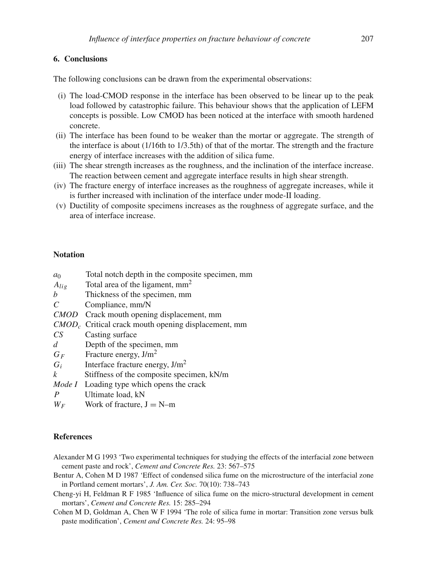# **6. Conclusions**

The following conclusions can be drawn from the experimental observations:

- (i) The load-CMOD response in the interface has been observed to be linear up to the peak load followed by catastrophic failure. This behaviour shows that the application of LEFM concepts is possible. Low CMOD has been noticed at the interface with smooth hardened concrete.
- (ii) The interface has been found to be weaker than the mortar or aggregate. The strength of the interface is about (1/16th to 1/3.5th) of that of the mortar. The strength and the fracture energy of interface increases with the addition of silica fume.
- (iii) The shear strength increases as the roughness, and the inclination of the interface increase. The reaction between cement and aggregate interface results in high shear strength.
- (iv) The fracture energy of interface increases as the roughness of aggregate increases, while it is further increased with inclination of the interface under mode-II loading.
- (v) Ductility of composite specimens increases as the roughness of aggregate surface, and the area of interface increase.

## **Notation**

| a <sub>0</sub> | Total notch depth in the composite specimen, mm       |
|----------------|-------------------------------------------------------|
| $A_{lig}$      | Total area of the ligament, mm <sup>2</sup>           |
| b              | Thickness of the specimen, mm                         |
| C              | Compliance, mm/N                                      |
|                | CMOD Crack mouth opening displacement, mm             |
|                | $CMODc$ Critical crack mouth opening displacement, mm |
| CS             | Casting surface                                       |
| ď              | Depth of the specimen, mm                             |
| $G_F$          | Fracture energy, $J/m2$                               |
| $G_i$          | Interface fracture energy, $J/m2$                     |
| k              | Stiffness of the composite specimen, kN/m             |
| Mode I         | Loading type which opens the crack                    |

- *P* Ultimate load, kN
- $W_F$  Work of fracture,  $J = N-m$

# **References**

- Alexander M G 1993 'Two experimental techniques for studying the effects of the interfacial zone between cement paste and rock', *Cement and Concrete Res.* 23: 567–575
- Bentur A, Cohen M D 1987 'Effect of condensed silica fume on the microstructure of the interfacial zone in Portland cement mortars', *J. Am. Cer. Soc.* 70(10): 738–743
- Cheng-yi H, Feldman R F 1985 'Influence of silica fume on the micro-structural development in cement mortars', *Cement and Concrete Res.* 15: 285–294
- Cohen M D, Goldman A, Chen W F 1994 'The role of silica fume in mortar: Transition zone versus bulk paste modification', *Cement and Concrete Res.* 24: 95–98